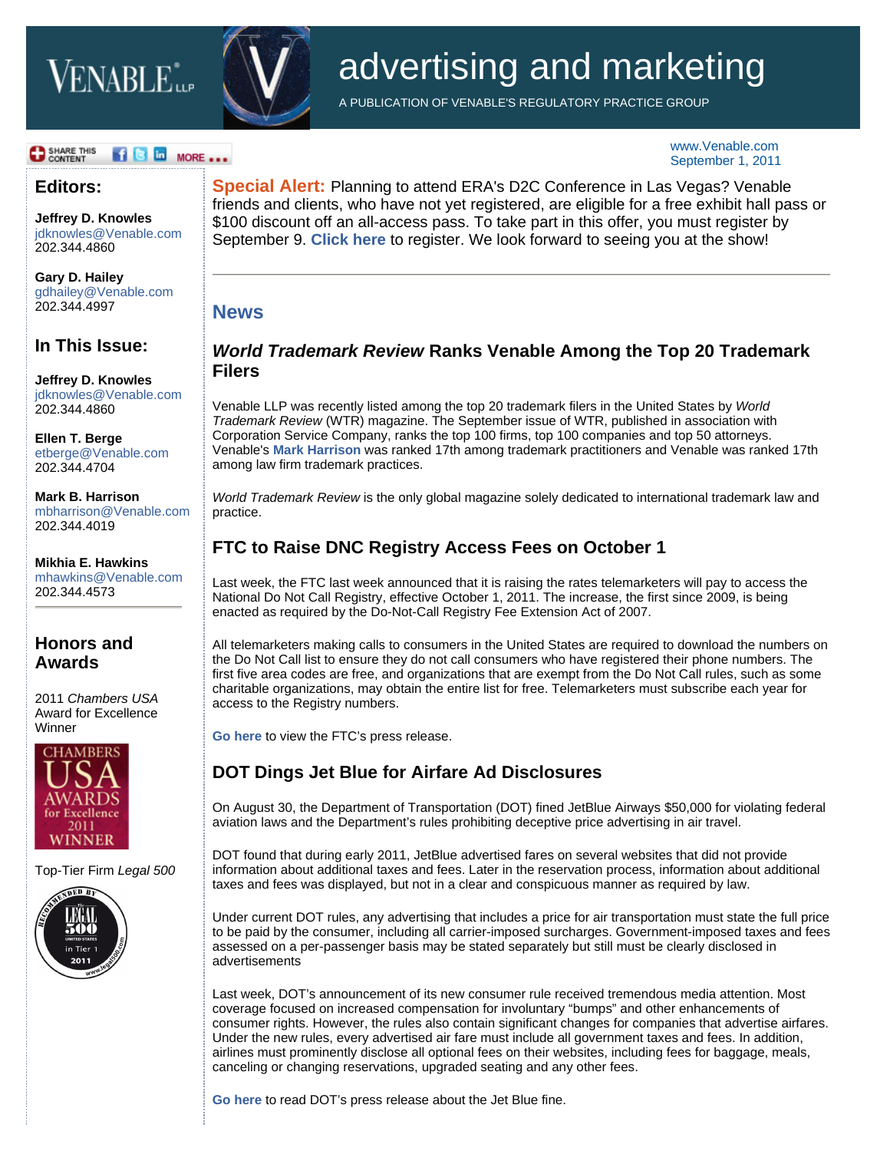# **VENABLE** ile



# advertising and marketing

A PUBLICATION OF VENABLE'S REGULATORY PRACTICE GROUP

#### **B** SHARE THIS **18 D** MORE ...

#### **Editors:**

**[Jeffrey D. Knowles](http://www.venable.com/jeffrey-d-knowles/)** jdknowles@Venable.com 202.344.4860

**[Gary D. Hailey](http://www.venable.com/gary-d-hailey/)** gdhailey@Venable.com 202.344.4997

#### **In This Issue:**

**[Jeffrey D. Knowles](http://www.venable.com/jeffrey-d-knowles/)** jdknowles@Venable.com 202.344.4860

**[Ellen T. Berge](http://www.venable.com/ellen-t-berge/)** etberge@Venable.com 202.344.4704

**[Mark B. Harrison](http://www.venable.com/mark-b-harrison/)** mbharrison@Venable.com 202.344.4019

**[Mikhia E. Hawkins](http://www.venable.com/mikhia-e-hawkins/)** mhawkins@Venable.com 202.344.4573

#### **Honors and Awards**

2011 *Chambers USA* Award for Excellence Winner



Top-Tier Firm *Legal 500*



**Special Alert:** Planning to attend ERA's D2C Conference in Las Vegas? Venable friends and clients, who have not yet registered, are eligible for a free exhibit hall pass or \$100 discount off an all-access pass. To take part in this offer, you must register by September 9. **[Click here](https://www.completereg.com/ERA/guest/index.aspx)** to register. We look forward to seeing you at the show!

### **News**

#### *World Trademark Review* **Ranks Venable Among the Top 20 Trademark Filers**

Venable LLP was recently listed among the top 20 trademark filers in the United States by *World Trademark Review* (WTR) magazine. The September issue of WTR, published in association with Corporation Service Company, ranks the top 100 firms, top 100 companies and top 50 attorneys. Venable's **[Mark Harrison](http://www.venable.com/mark-b-harrison/)** was ranked 17th among trademark practitioners and Venable was ranked 17th among law firm trademark practices.

*World Trademark Review* is the only global magazine solely dedicated to international trademark law and practice.

#### **FTC to Raise DNC Registry Access Fees on October 1**

Last week, the FTC last week announced that it is raising the rates telemarketers will pay to access the National Do Not Call Registry, effective October 1, 2011. The increase, the first since 2009, is being enacted as required by the Do-Not-Call Registry Fee Extension Act of 2007.

All telemarketers making calls to consumers in the United States are required to download the numbers on the Do Not Call list to ensure they do not call consumers who have registered their phone numbers. The first five area codes are free, and organizations that are exempt from the Do Not Call rules, such as some charitable organizations, may obtain the entire list for free. Telemarketers must subscribe each year for access to the Registry numbers.

**[Go here](http://www.ftc.gov/opa/2011/08/telemarketing.shtm)** to view the FTC's press release.

#### **DOT Dings Jet Blue for Airfare Ad Disclosures**

On August 30, the Department of Transportation (DOT) fined JetBlue Airways \$50,000 for violating federal aviation laws and the Department's rules prohibiting deceptive price advertising in air travel.

DOT found that during early 2011, JetBlue advertised fares on several websites that did not provide information about additional taxes and fees. Later in the reservation process, information about additional taxes and fees was displayed, but not in a clear and conspicuous manner as required by law.

Under current DOT rules, any advertising that includes a price for air transportation must state the full price to be paid by the consumer, including all carrier-imposed surcharges. Government-imposed taxes and fees assessed on a per-passenger basis may be stated separately but still must be clearly disclosed in advertisements

Last week, DOT's announcement of its new consumer rule received tremendous media attention. Most coverage focused on increased compensation for involuntary "bumps" and other enhancements of consumer rights. However, the rules also contain significant changes for companies that advertise airfares. Under the new rules, every advertised air fare must include all government taxes and fees. In addition, airlines must prominently disclose all optional fees on their websites, including fees for baggage, meals, canceling or changing reservations, upgraded seating and any other fees.

**[Go here](http://www.dot.gov/affairs/2011/dot11511.html)** to read DOT's press release about the Jet Blue fine.

www.Venable.com September 1, 2011